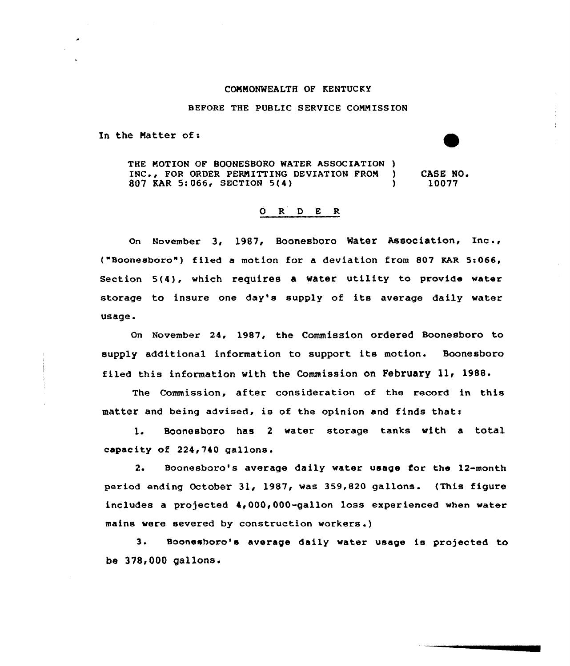## COMMONWEALTH OF KENTUCKY

## BEFORE THE PUBLIC SERVICE COMM ISSION

In the Matter of:

THE MOTION OF BOONESBORO WATER ASSOCIATION )<br>INC.. FOR ORDER PERMITTING DEVIATION FROM ) INC., FOR ORDER PERMITTING DEVIATION FROM ) CASE NO.<br>807 KAR 5:066, SECTION 5(4) ) 10077 807 KAR 5:066, SECTION 5(4)

## 0 R <sup>D</sup> E R

on November 3, 1987, Boonesboro Mater Association, Inc ., ("Boonesboro") filed a motion for a deviation from 807 KAR 5:066, Section 5(4}, which requires <sup>a</sup> water utility to provide water storage to insure one day's supply of its average daily water usage.

on November 24, 1987, the commission ordered Boonesboro to supply additional information to support its motion. Boonesboro filed this information with the Commission on February ll< 1988.

The Commission, after consideration of the record in this matter and being advised, is of the opinion and finds thats

1. Boonesboro has 2 water storage tanks with a total capacity of 224,740 gallons.

2. Boonesboro's average daily water usage for the l2-month period ending October 31, 1987, was 359,820 gallons. (This figure includes a projected 4,000,000-gallon loss experienced when water mains were severed by construction workers .)

3. Boonesboro's average daily water usage is projected to be 378<000 gallons.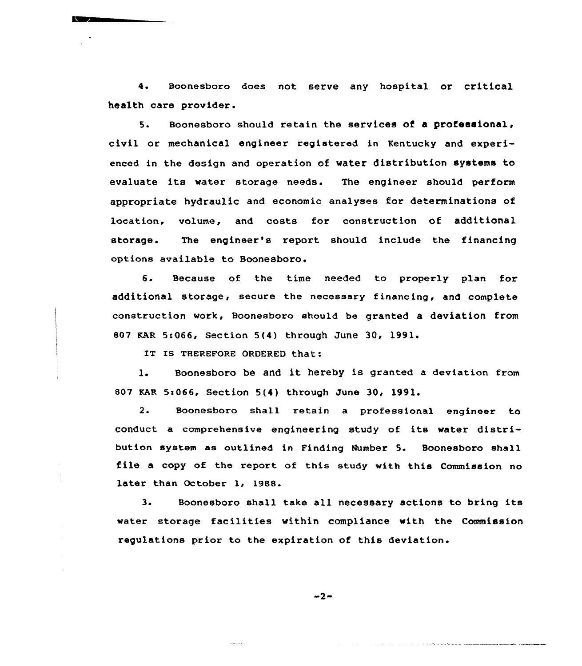4. Boonesboro does not serve any hospital or critical health care provider.

5. Boonesboro should retain the services of a professional civil or mechanical engineer registered in Kentucky and experienced in the design and operation of water distribution systems to evaluate its water storage needs. The engineer should perform appropriate hydraulic and economic analyses for determinations of location, volume, and costs for construction of additional storage. The engineer's report should include the financing options available to Boonesboro.

6. Because of the time needed to properly plan for additional storage, secure the necessary financing, and complete construction work, Boonesboro should be granted a deviation from 807 RAR 5:066, Section 5(4) through June 30, 1991.

'T Is THEREFORE ORDERED that:

1. Boonesboro be and it hereby is granted <sup>a</sup> deviation from 807 KAR 5:066, Section 5(4) through June 30, 1991.

2. Soonesboro shall retain a professional engineer to conduct a comprehensive engineering study of its water distribution system as outlined in Finding Number 5. Boonesboro shall file <sup>a</sup> copy of the report of this study with this Commission no later than October 1, 1988.

3. Soonesboro shall take all necessary actions to bring its water storage facilities within compliance with the Commission regulations prior to the expiration of this deviation.

 $-2-$